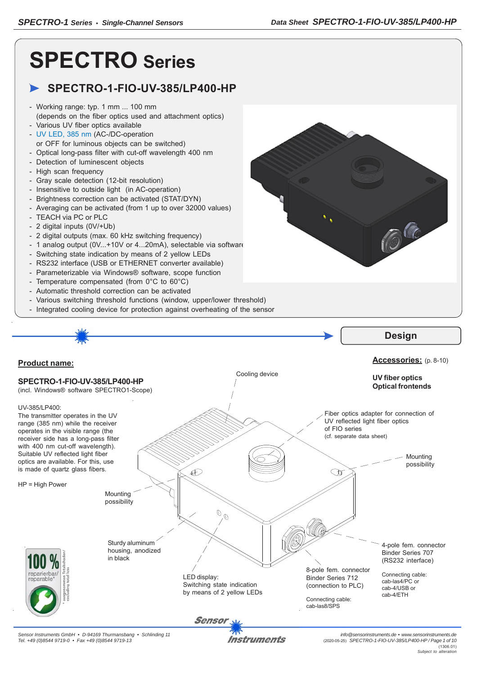**CO** 

# **SPECTRO Series**

## **SPECTRO-1-FIO-UV-385/LP400-HP**

- Working range: typ. 1 mm ... 100 mm (depends on the fiber optics used and attachment optics)
- Various UV fiber optics available
- UV LED, 385 nm (AC-/DC-operation
- or OFF for luminous objects can be switched) - Optical long-pass filter with cut-off wavelength 400 nm
- Detection of luminescent objects
- High scan frequency
- Gray scale detection (12-bit resolution)
- Insensitive to outside light (in AC-operation)
- Brightness correction can be activated (STAT/DYN)
- Averaging can be activated (from 1 up to over 32000 values)
- TEACH via PC or PLC
- 2 digital inputs (0V/+Ub)

*Tel. +49 (0)8544 9719-0 • Fax +49 (0)8544 9719-13*

- 2 digital outputs (max. 60 kHz switching frequency)
- 1 analog output (0V...+10V or 4...20mA), selectable via software
- Switching state indication by means of 2 yellow LEDs
- RS232 interface (USB or ETHERNET converter available)
- Parameterizable via Windows® software, scope function
- Temperature compensated (from 0°C to 60°C)
- Automatic threshold correction can be activated
- Various switching threshold functions (window, upper/lower threshold)
- Integrated cooling device for protection against overheating of the sensor

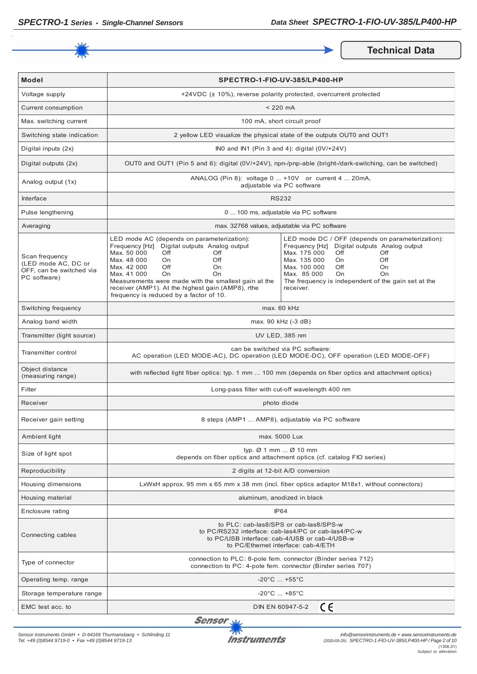

**Technical Data** 

| <b>Model</b>                                                                      | SPECTRO-1-FIO-UV-385/LP400-HP                                                                                                                                                                                                                                                                                                                                      |                                                                                                                                                                                                                                                                                          |  |
|-----------------------------------------------------------------------------------|--------------------------------------------------------------------------------------------------------------------------------------------------------------------------------------------------------------------------------------------------------------------------------------------------------------------------------------------------------------------|------------------------------------------------------------------------------------------------------------------------------------------------------------------------------------------------------------------------------------------------------------------------------------------|--|
| Voltage supply                                                                    |                                                                                                                                                                                                                                                                                                                                                                    | +24VDC (± 10%), reverse polarity protected, overcurrent protected                                                                                                                                                                                                                        |  |
| Current consumption                                                               | $< 220$ mA                                                                                                                                                                                                                                                                                                                                                         |                                                                                                                                                                                                                                                                                          |  |
| Max. switching current                                                            | 100 mA, short circuit proof                                                                                                                                                                                                                                                                                                                                        |                                                                                                                                                                                                                                                                                          |  |
| Switching state indication                                                        | 2 yellow LED visualize the physical state of the outputs OUT0 and OUT1                                                                                                                                                                                                                                                                                             |                                                                                                                                                                                                                                                                                          |  |
| Digital inputs (2x)                                                               |                                                                                                                                                                                                                                                                                                                                                                    | IN0 and IN1 (Pin 3 and 4): digital (0V/+24V)                                                                                                                                                                                                                                             |  |
| Digital outputs (2x)                                                              | OUT0 and OUT1 (Pin 5 and 6): digital (0V/+24V), npn-/pnp-able (bright-/dark-switching, can be switched)                                                                                                                                                                                                                                                            |                                                                                                                                                                                                                                                                                          |  |
| Analog output (1x)                                                                | ANALOG (Pin 8): voltage 0  +10V or current 4  20mA,<br>adjustable via PC software                                                                                                                                                                                                                                                                                  |                                                                                                                                                                                                                                                                                          |  |
| Interface                                                                         | <b>RS232</b>                                                                                                                                                                                                                                                                                                                                                       |                                                                                                                                                                                                                                                                                          |  |
| Pulse lengthening                                                                 | 0  100 ms, adjustable via PC software                                                                                                                                                                                                                                                                                                                              |                                                                                                                                                                                                                                                                                          |  |
| Averaging                                                                         | max. 32768 values, adjustable via PC software                                                                                                                                                                                                                                                                                                                      |                                                                                                                                                                                                                                                                                          |  |
| Scan frequency<br>(LED mode AC, DC or<br>OFF, can be switched via<br>PC software) | LED mode AC (depends on parameterization):<br>Frequency [Hz] Digital outputs Analog output<br>Max. 50 000<br>Off<br>Off<br>Off<br>Max. 48 000<br>On<br>Max. 42 000<br>Off<br>On<br>Max. 41 000<br>On<br>On<br>Measurements were made with the smallest gain at the<br>receiver (AMP1). At the highest gain (AMP8), rthe<br>frequency is reduced by a factor of 10. | LED mode DC / OFF (depends on parameterization):<br>Frequency [Hz] Digital outputs Analog output<br>Max. 175 000<br>Off<br>Off<br>Max. 135 000<br>Off<br>On.<br>Max. 100 000<br>Off<br>On<br>Max. 85 000<br>On<br>On<br>The frequency is independent of the gain set at the<br>receiver. |  |
| Switching frequency                                                               | max. 60 kHz                                                                                                                                                                                                                                                                                                                                                        |                                                                                                                                                                                                                                                                                          |  |
| Analog band width                                                                 | max. 90 kHz (-3 dB)                                                                                                                                                                                                                                                                                                                                                |                                                                                                                                                                                                                                                                                          |  |
| Transmitter (light source)                                                        | UV LED, 385 nm                                                                                                                                                                                                                                                                                                                                                     |                                                                                                                                                                                                                                                                                          |  |
| Transmitter control                                                               | can be switched via PC software:<br>AC operation (LED MODE-AC), DC operation (LED MODE-DC), OFF operation (LED MODE-OFF)                                                                                                                                                                                                                                           |                                                                                                                                                                                                                                                                                          |  |
| Object distance<br>(measuring range)                                              | with reflected light fiber optics: typ. 1 mm  100 mm (depends on fiber optics and attachment optics)                                                                                                                                                                                                                                                               |                                                                                                                                                                                                                                                                                          |  |
| Filter                                                                            | Long-pass filter with cut-off wavelength 400 nm                                                                                                                                                                                                                                                                                                                    |                                                                                                                                                                                                                                                                                          |  |
| Receiver                                                                          | photo diode                                                                                                                                                                                                                                                                                                                                                        |                                                                                                                                                                                                                                                                                          |  |
| Receiver gain setting                                                             | 8 steps (AMP1  AMP8), adjustable via PC software                                                                                                                                                                                                                                                                                                                   |                                                                                                                                                                                                                                                                                          |  |
| Ambient light                                                                     | max. 5000 Lux                                                                                                                                                                                                                                                                                                                                                      |                                                                                                                                                                                                                                                                                          |  |
| Size of light spot                                                                | typ. $\varnothing$ 1 mm $\varnothing$ 10 mm<br>depends on fiber optics and attachment optics (cf. catalog FIO series)                                                                                                                                                                                                                                              |                                                                                                                                                                                                                                                                                          |  |
| Reproducibility                                                                   | 2 digits at 12-bit A/D conversion                                                                                                                                                                                                                                                                                                                                  |                                                                                                                                                                                                                                                                                          |  |
| Housing dimensions                                                                | LxWxH approx. 95 mm x 65 mm x 38 mm (incl. fiber optics adaptor M18x1, without connectors)                                                                                                                                                                                                                                                                         |                                                                                                                                                                                                                                                                                          |  |
| Housing material                                                                  | aluminum, anodized in black                                                                                                                                                                                                                                                                                                                                        |                                                                                                                                                                                                                                                                                          |  |
| Enclosure rating                                                                  | <b>IP64</b>                                                                                                                                                                                                                                                                                                                                                        |                                                                                                                                                                                                                                                                                          |  |
| Connecting cables                                                                 | to PLC: cab-las8/SPS or cab-las8/SPS-w<br>to PC/RS232 interface: cab-las4/PC or cab-las4/PC-w<br>to PC/USB interface: cab-4/USB or cab-4/USB-w<br>to PC/Ethernet interface: cab-4/ETH                                                                                                                                                                              |                                                                                                                                                                                                                                                                                          |  |
| Type of connector                                                                 | connection to PLC: 8-pole fem. connector (Binder series 712)<br>connection to PC: 4-pole fem. connector (Binder series 707)                                                                                                                                                                                                                                        |                                                                                                                                                                                                                                                                                          |  |
| Operating temp. range                                                             | $-20^{\circ}$ C $ +55^{\circ}$ C                                                                                                                                                                                                                                                                                                                                   |                                                                                                                                                                                                                                                                                          |  |
| Storage temperature range                                                         | $-20^{\circ}$ C $+85^{\circ}$ C                                                                                                                                                                                                                                                                                                                                    |                                                                                                                                                                                                                                                                                          |  |
| EMC test acc. to                                                                  | CE<br>DIN EN 60947-5-2                                                                                                                                                                                                                                                                                                                                             |                                                                                                                                                                                                                                                                                          |  |

**Sensor** 

*Sensor Instruments GmbH • D-94169 Thurmansbang • Schlinding 11 Tel. +49 (0)8544 9719-0 • Fax +49 (0)8544 9719-13*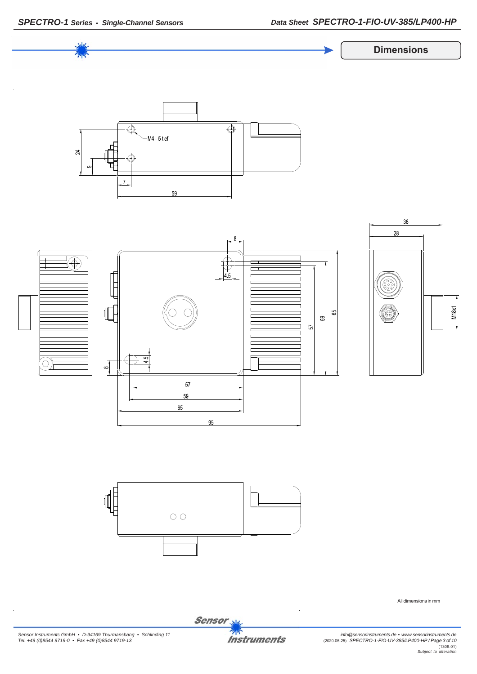

*Sensor Instruments GmbH • D-94169 Thurmansbang • Schlinding 11 Tel. +49 (0)8544 9719-0 • Fax +49 (0)8544 9719-13*



*info@sensorinstruments.de • www.sensorinstruments.de* (2020-05-25) *SPECTRO-1-FIO-UV-385/LP400-HP / Page 3 of 10* (1306.01) *Subject to alteration*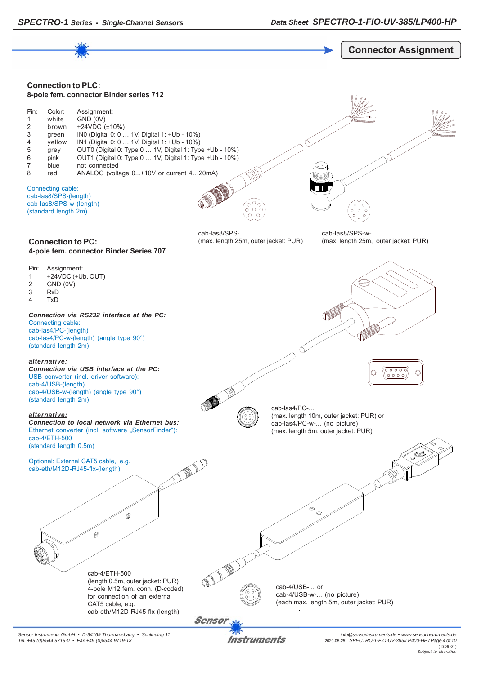

*Sensor Instruments GmbH • D-94169 Thurmansbang • Schlinding 11 Tel. +49 (0)8544 9719-0 • Fax +49 (0)8544 9719-13*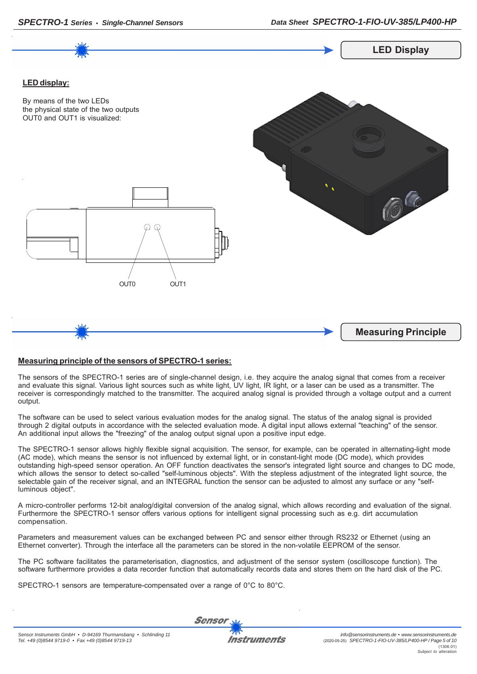

## **Measuring principle of the sensors of SPECTRO-1 series:**

The sensors of the SPECTRO-1 series are of single-channel design, i.e. they acquire the analog signal that comes from a receiver and evaluate this signal. Various light sources such as white light, UV light, IR light, or a laser can be used as a transmitter. The receiver is correspondingly matched to the transmitter. The acquired analog signal is provided through a voltage output and a current output.

The software can be used to select various evaluation modes for the analog signal. The status of the analog signal is provided through 2 digital outputs in accordance with the selected evaluation mode. A digital input allows external "teaching" of the sensor. An additional input allows the "freezing" of the analog output signal upon a positive input edge.

The SPECTRO-1 sensor allows highly flexible signal acquisition. The sensor, for example, can be operated in alternating-light mode (AC mode), which means the sensor is not influenced by external light, or in constant-light mode (DC mode), which provides outstanding high-speed sensor operation. An OFF function deactivates the sensor's integrated light source and changes to DC mode, which allows the sensor to detect so-called "self-luminous objects". With the stepless adjustment of the integrated light source, the selectable gain of the receiver signal, and an INTEGRAL function the sensor can be adjusted to almost any surface or any "selfluminous object".

A micro-controller performs 12-bit analog/digital conversion of the analog signal, which allows recording and evaluation of the signal. Furthermore the SPECTRO-1 sensor offers various options for intelligent signal processing such as e.g. dirt accumulation compensation.

Parameters and measurement values can be exchanged between PC and sensor either through RS232 or Ethernet (using an Ethernet converter). Through the interface all the parameters can be stored in the non-volatile EEPROM of the sensor.

The PC software facilitates the parameterisation, diagnostics, and adjustment of the sensor system (oscilloscope function). The software furthermore provides a data recorder function that automatically records data and stores them on the hard disk of the PC.

SPECTRO-1 sensors are temperature-compensated over a range of 0°C to 80°C.

**Sensor**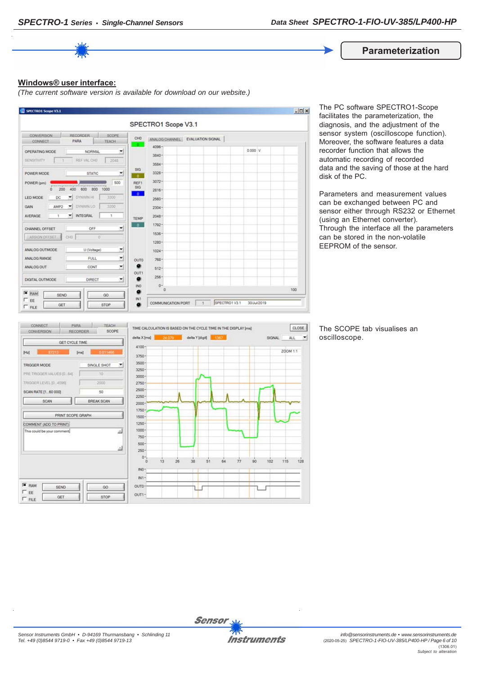**Parameterization**

### **Windows® user interface:**

*(The current software version is available for download on our website.)*



The PC software SPECTRO1-Scope facilitates the parameterization, the diagnosis, and the adjustment of the sensor system (oscilloscope function). Moreover, the software features a data recorder function that allows the automatic recording of recorded data and the saving of those at the hard disk of the PC.

Parameters and measurement values can be exchanged between PC and sensor either through RS232 or Ethernet (using an Ethernet converter). Through the interface all the parameters can be stored in the non-volatile EEPROM of the sensor.



The SCOPE tab visualises an oscilloscope.

 $\left| \cdot \right|$ 



**Sensor**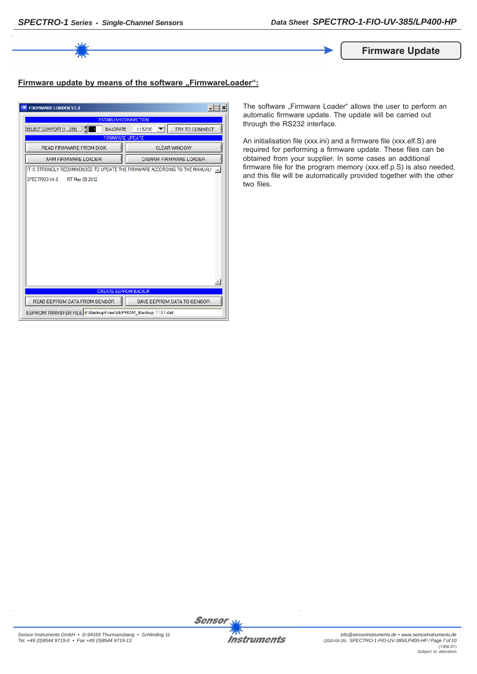

**Firmware Update**

## **Firmware update by means of the software ..FirmwareLoader":**

| $\Box$<br><b>FIRMWARE LOADER V1.1</b>                                      |                               |  |  |  |
|----------------------------------------------------------------------------|-------------------------------|--|--|--|
| <b>ESTABLISH CONNECTION</b>                                                |                               |  |  |  |
| <b>BAUDRATE</b><br>SELECT COMPORT [1256]                                   | TRY TO CONNECT<br>115200      |  |  |  |
| <b>FIRMWARE UPDATE</b>                                                     |                               |  |  |  |
| <b>READ FIRMWARE FROM DISK</b>                                             | <b>CLEAR WINDOW</b>           |  |  |  |
| ARM FIRMWARE LOADER                                                        | <b>DISARM FIRMWARE LOADER</b> |  |  |  |
| IT IS STRONGLY RECOMMENDED TO UPDATE THE FIRMWARE ACCORDING TO THE MANUAL! |                               |  |  |  |
| SPECTRO3 V4.0<br>RT May 09 2012                                            |                               |  |  |  |
|                                                                            |                               |  |  |  |
|                                                                            |                               |  |  |  |
|                                                                            |                               |  |  |  |
|                                                                            |                               |  |  |  |
|                                                                            |                               |  |  |  |
|                                                                            |                               |  |  |  |
|                                                                            |                               |  |  |  |
|                                                                            |                               |  |  |  |
|                                                                            |                               |  |  |  |
|                                                                            |                               |  |  |  |
|                                                                            |                               |  |  |  |
| <b>CREATE EEPROM BACKUP</b>                                                |                               |  |  |  |
| READ EEPROM DATA FROM SENSOR                                               | SAVE EEPROM DATA TO SENSOR    |  |  |  |
| EEPROM TRANSFER FILE d:\BackupFiles\EEPROM_Backup 1131.dat                 |                               |  |  |  |

The software "Firmware Loader" allows the user to perform an automatic firmware update. The update will be carried out through the RS232 interface.

An initialisation file (xxx.ini) and a firmware file (xxx.elf.S) are required for performing a firmware update. These files can be obtained from your supplier. In some cases an additional firmware file for the program memory (xxx.elf.p.S) is also needed, and this file will be automatically provided together with the other two files.

*Sensor Instruments GmbH • D-94169 Thurmansbang • Schlinding 11 Tel. +49 (0)8544 9719-0 • Fax +49 (0)8544 9719-13*

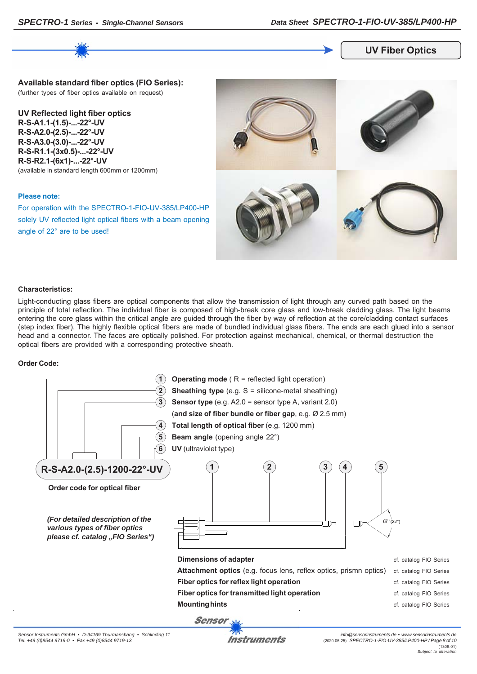## **UV Fiber Optics**

**Available standard fiber optics (FIO Series):** (further types of fiber optics available on request)

**UV Reflected light fiber optics R-S-A1.1-(1.5)-...-22°-UV R-S-A2.0-(2.5)-...-22°-UV R-S-A3.0-(3.0)-...-22°-UV R-S-R1.1-(3x0.5)-...-22°-UV R-S-R2.1-(6x1)-...-22°-UV** (available in standard length 600mm or 1200mm)

#### **Please note:**

For operation with the SPECTRO-1-FIO-UV-385/LP400-HP solely UV reflected light optical fibers with a beam opening angle of 22° are to be used!



#### **Characteristics:**

Light-conducting glass fibers are optical components that allow the transmission of light through any curved path based on the principle of total reflection. The individual fiber is composed of high-break core glass and low-break cladding glass. The light beams entering the core glass within the critical angle are guided through the fiber by way of reflection at the core/cladding contact surfaces (step index fiber). The highly flexible optical fibers are made of bundled individual glass fibers. The ends are each glued into a sensor head and a connector. The faces are optically polished. For protection against mechanical, chemical, or thermal destruction the optical fibers are provided with a corresponding protective sheath.

#### **Order Code:**



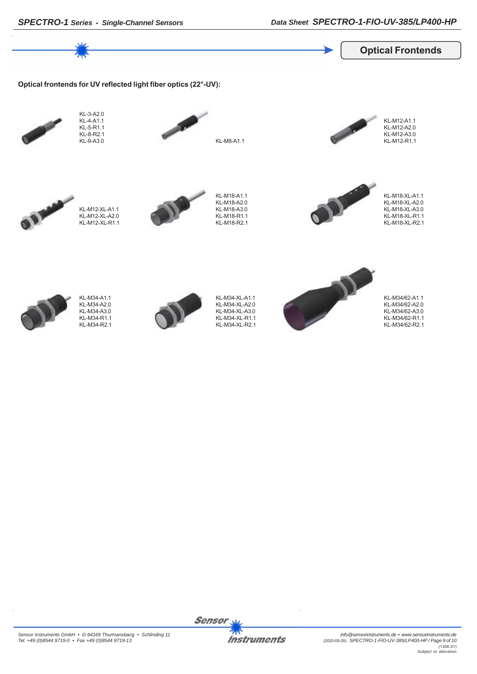